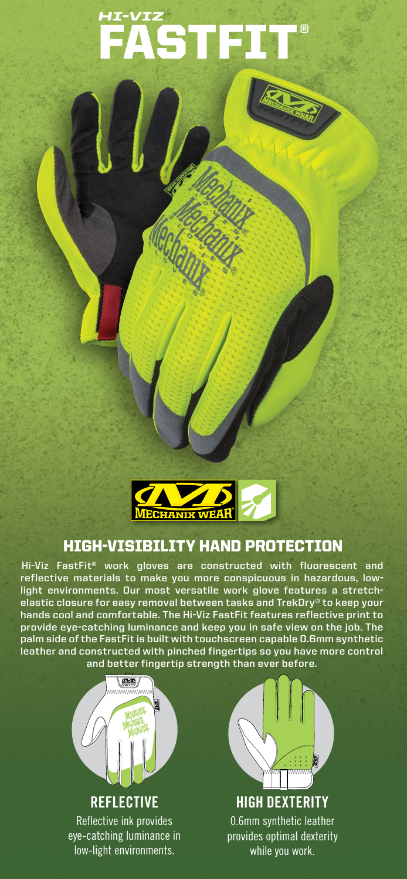# FASTFIT® *HI-VIZ*



### HIGH-VISIBILITY HAND PROTECTION

**Hi-Viz FastFit® work gloves are constructed with fluorescent and reflective materials to make you more conspicuous in hazardous, lowlight environments. Our most versatile work glove features a stretchelastic closure for easy removal between tasks and TrekDry® to keep your hands cool and comfortable. The Hi-Viz FastFit features reflective print to provide eye-catching luminance and keep you in safe view on the job. The palm side of the FastFit is built with touchscreen capable 0.6mm synthetic leather and constructed with pinched fingertips so you have more control and better fingertip strength than ever before.**



**REFLECTIVE** Reflective ink provides eye-catching luminance in low-light environments.



**HIGH DEXTERITY** 0.6mm synthetic leather provides optimal dexterity while you work.